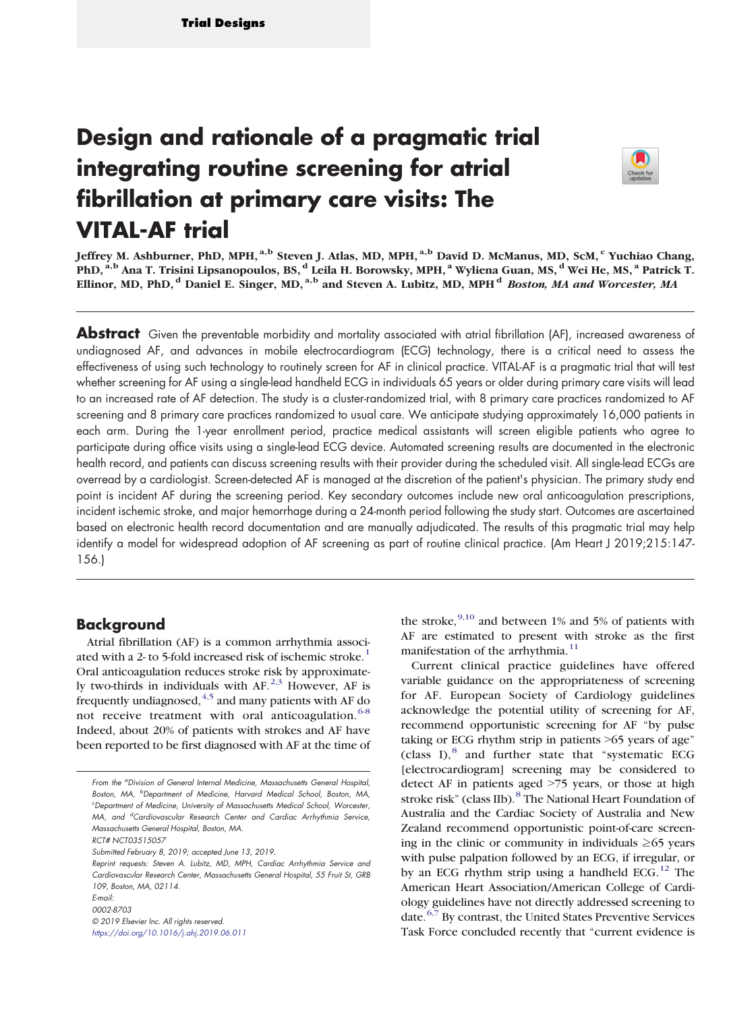# Design and rationale of a pragmatic trial integrating routine screening for atrial fibrillation at primary care visits: The VITAL-AF trial



Jeffrey M. Ashburner, PhD, MPH,<sup>a,b</sup> Steven J. Atlas, MD, MPH,<sup>a,b</sup> David D. McManus, MD, ScM,<sup>c</sup> Yuchiao Chang, PhD, <sup>a,b</sup> Ana T. Trisini Lipsanopoulos, BS, <sup>d</sup> Leila H. Borowsky, MPH, <sup>a</sup> Wyliena Guan, MS, <sup>d</sup> Wei He, MS, <sup>a</sup> Patrick T. Ellinor, MD, PhD, <sup>d</sup> Daniel E. Singer, MD, <sup>a,b</sup> and Steven A. Lubitz, MD, MPH<sup>d</sup> Boston, MA and Worcester, MA

Abstract Given the preventable morbidity and mortality associated with atrial fibrillation (AF), increased awareness of undiagnosed AF, and advances in mobile electrocardiogram (ECG) technology, there is a critical need to assess the effectiveness of using such technology to routinely screen for AF in clinical practice. VITAL-AF is a pragmatic trial that will test whether screening for AF using a single-lead handheld ECG in individuals 65 years or older during primary care visits will lead to an increased rate of AF detection. The study is a cluster-randomized trial, with 8 primary care practices randomized to AF screening and 8 primary care practices randomized to usual care. We anticipate studying approximately 16,000 patients in each arm. During the 1-year enrollment period, practice medical assistants will screen eligible patients who agree to participate during office visits using a single-lead ECG device. Automated screening results are documented in the electronic health record, and patients can discuss screening results with their provider during the scheduled visit. All single-lead ECGs are overread by a cardiologist. Screen-detected AF is managed at the discretion of the patient's physician. The primary study end point is incident AF during the screening period. Key secondary outcomes include new oral anticoagulation prescriptions, incident ischemic stroke, and major hemorrhage during a 24-month period following the study start. Outcomes are ascertained based on electronic health record documentation and are manually adjudicated. The results of this pragmatic trial may help identify a model for widespread adoption of AF screening as part of routine clinical practice. (Am Heart J 2019;215:147- 156.)

## Background

Atrial fibrillation (AF) is a common arrhythmia associ-ated with a 2- to 5-fold increased risk of ischemic stroke[.](#page-8-0)<sup>[1](#page-8-0)</sup> Oral anticoagulation reduces stroke risk by approximately two-thirds in individuals with  $AF^{2,3}$  $AF^{2,3}$  $AF^{2,3}$  However, AF is frequently undiagnosed[,](#page-8-0) <sup>[4,5](#page-8-0)</sup> and many patients with AF do not receive treatment with oral anticoagulation.<sup>[6-8](#page-8-0)</sup> Indeed, about 20% of patients with strokes and AF have been reported to be first diagnosed with AF at the time of the stroke[,](#page-8-0) $9,10$  and between 1% and 5% of patients with AF are estimated to present with stroke as the first manifestation of the arrhythmia[.](#page-8-0)<sup>[11](#page-8-0)</sup>

Current clinical practice guidelines have offered variable guidance on the appropriateness of screening for AF. European Society of Cardiology guidelines acknowledge the potential utility of screening for AF, recommend opportunistic screening for AF "by pulse taking or ECG rhythm strip in patients  $>65$  years of age" (class  $I$ )[,](#page-8-0)  $8$  and further state that "systematic ECG [electrocardiogram] screening may be considered to detect AF in patients aged  $>75$  years, or those at high stroke risk" (class IIb)[.](#page-8-0)<sup>[8](#page-8-0)</sup> The National Heart Foundation of Australia and the Cardiac Society of Australia and New Zealand recommend opportunistic point-of-care screening in the clinic or community in individuals  $\geq 65$  years with pulse palpation followed by an ECG, if irregular, or by an ECG rhythm strip using a handheld ECG[.](#page-8-0)<sup>[12](#page-8-0)</sup> The American Heart Association/American College of Cardiology guidelines have not directly addressed screening to date[.](#page-8-0)[6,7](#page-8-0) By contrast, the United States Preventive Services Task Force concluded recently that "current evidence is

From the <sup>a</sup>Division of General Internal Medicine, Massachusetts General Hospital, Boston, MA, <sup>b</sup>Department of Medicine, Harvard Medical School, Boston, MA, c Department of Medicine, University of Massachusetts Medical School, Worcester, MA, and <sup>d</sup>Cardiovascular Research Center and Cardiac Arrhythmia Service, Massachusetts General Hospital, Boston, MA.

RCT# NCT03515057

Submitted February 8, 2019; accepted June 13, 2019.

Reprint requests: Steven A. Lubitz, MD, MPH, Cardiac Arrhythmia Service and Cardiovascular Research Center, Massachusetts General Hospital, 55 Fruit St, GRB 109, Boston, MA, 02114.

E-mail:

<sup>0002-8703</sup>

<sup>© 2019</sup> Elsevier Inc. All rights reserved.

<https://doi.org/10.1016/j.ahj.2019.06.011>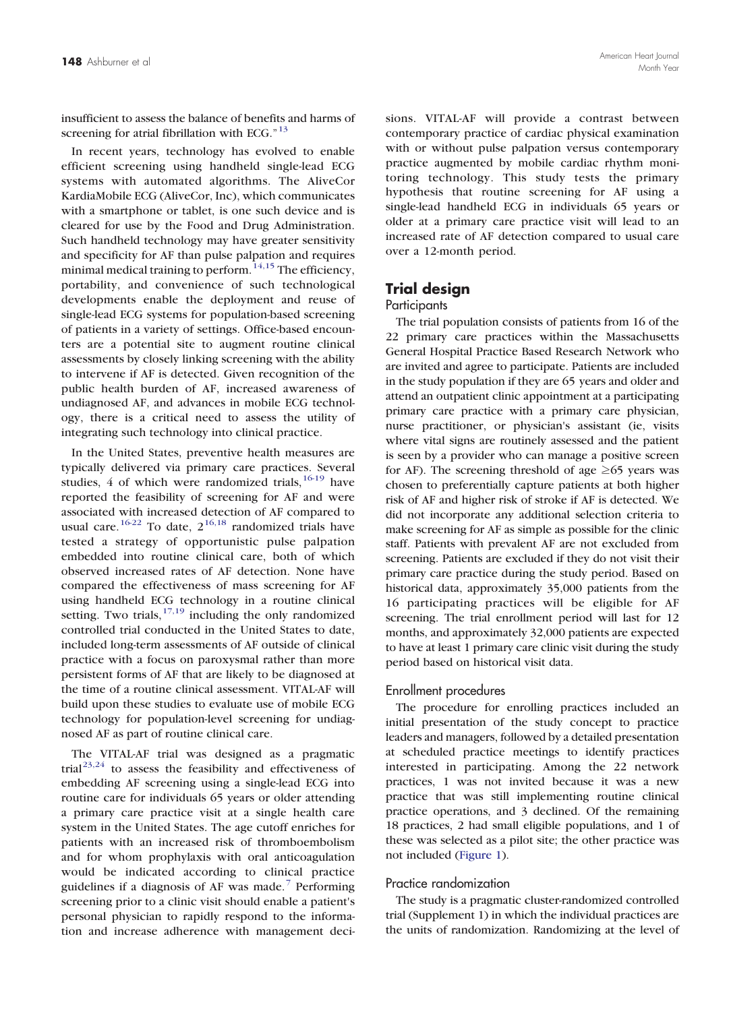insufficient to assess the balance of benefits and harms of screening for atrial fibrillation with ECG.["](#page-8-0) $13$ 

In recent years, technology has evolved to enable efficient screening using handheld single-lead ECG systems with automated algorithms. The AliveCor KardiaMobile ECG (AliveCor, Inc), which communicates with a smartphone or tablet, is one such device and is cleared for use by the Food and Drug Administration. Such handheld technology may have greater sensitivity and specificity for AF than pulse palpation and requires minimal medical training to perform[.](#page-8-0)<sup>[14,15](#page-8-0)</sup> The efficiency, portability, and convenience of such technological developments enable the deployment and reuse of single-lead ECG systems for population-based screening of patients in a variety of settings. Office-based encounters are a potential site to augment routine clinical assessments by closely linking screening with the ability to intervene if AF is detected. Given recognition of the public health burden of AF, increased awareness of undiagnosed AF, and advances in mobile ECG technology, there is a critical need to assess the utility of integrating such technology into clinical practice.

In the United States, preventive health measures are typically delivered via primary care practices. Several studies[,](#page-8-0) 4 of which were randomized trials,  $16-19$  have reported the feasibility of screening for AF and were associated with increased detection of AF compared to usual care[.](#page-8-0)<sup>[16-22](#page-8-0)</sup> To date,  $2^{16,18}$  $2^{16,18}$  $2^{16,18}$  $2^{16,18}$  randomized trials have tested a strategy of opportunistic pulse palpation embedded into routine clinical care, both of which observed increased rates of AF detection. None have compared the effectiveness of mass screening for AF using handheld ECG technology in a routine clinical setting. Two trials[,](#page-9-0)  $17,19$  including the only randomized controlled trial conducted in the United States to date, included long-term assessments of AF outside of clinical practice with a focus on paroxysmal rather than more persistent forms of AF that are likely to be diagnosed at the time of a routine clinical assessment. VITAL-AF will build upon these studies to evaluate use of mobile ECG technology for population-level screening for undiagnosed AF as part of routine clinical care.

The VITAL-AF trial was designed as a pragmatic tria[l](#page-9-0)<sup>[23,24](#page-9-0)</sup> to assess the feasibility and effectiveness of embedding AF screening using a single-lead ECG into routine care for individuals 65 years or older attending a primary care practice visit at a single health care system in the United States. The age cutoff enriches for patients with an increased risk of thromboembolism and for whom prophylaxis with oral anticoagulation would be indicated according to clinical practice guidelines if a diagnosis of AF was made[.](#page-8-0)<sup>[7](#page-8-0)</sup> Performing screening prior to a clinic visit should enable a patient's personal physician to rapidly respond to the information and increase adherence with management decisions. VITAL-AF will provide a contrast between contemporary practice of cardiac physical examination with or without pulse palpation versus contemporary practice augmented by mobile cardiac rhythm monitoring technology. This study tests the primary hypothesis that routine screening for AF using a single-lead handheld ECG in individuals 65 years or older at a primary care practice visit will lead to an increased rate of AF detection compared to usual care over a 12-month period.

# Trial design

#### **Participants**

The trial population consists of patients from 16 of the 22 primary care practices within the Massachusetts General Hospital Practice Based Research Network who are invited and agree to participate. Patients are included in the study population if they are 65 years and older and attend an outpatient clinic appointment at a participating primary care practice with a primary care physician, nurse practitioner, or physician's assistant (ie, visits where vital signs are routinely assessed and the patient is seen by a provider who can manage a positive screen for AF). The screening threshold of age  $\geq 65$  years was chosen to preferentially capture patients at both higher risk of AF and higher risk of stroke if AF is detected. We did not incorporate any additional selection criteria to make screening for AF as simple as possible for the clinic staff. Patients with prevalent AF are not excluded from screening. Patients are excluded if they do not visit their primary care practice during the study period. Based on historical data, approximately 35,000 patients from the 16 participating practices will be eligible for AF screening. The trial enrollment period will last for 12 months, and approximately 32,000 patients are expected to have at least 1 primary care clinic visit during the study period based on historical visit data.

#### Enrollment procedures

The procedure for enrolling practices included an initial presentation of the study concept to practice leaders and managers, followed by a detailed presentation at scheduled practice meetings to identify practices interested in participating. Among the 22 network practices, 1 was not invited because it was a new practice that was still implementing routine clinical practice operations, and 3 declined. Of the remaining 18 practices, 2 had small eligible populations, and 1 of these was selected as a pilot site; the other practice was not included ([Figure 1](#page-2-0)).

#### Practice randomization

The study is a pragmatic cluster-randomized controlled trial (Supplement 1) in which the individual practices are the units of randomization. Randomizing at the level of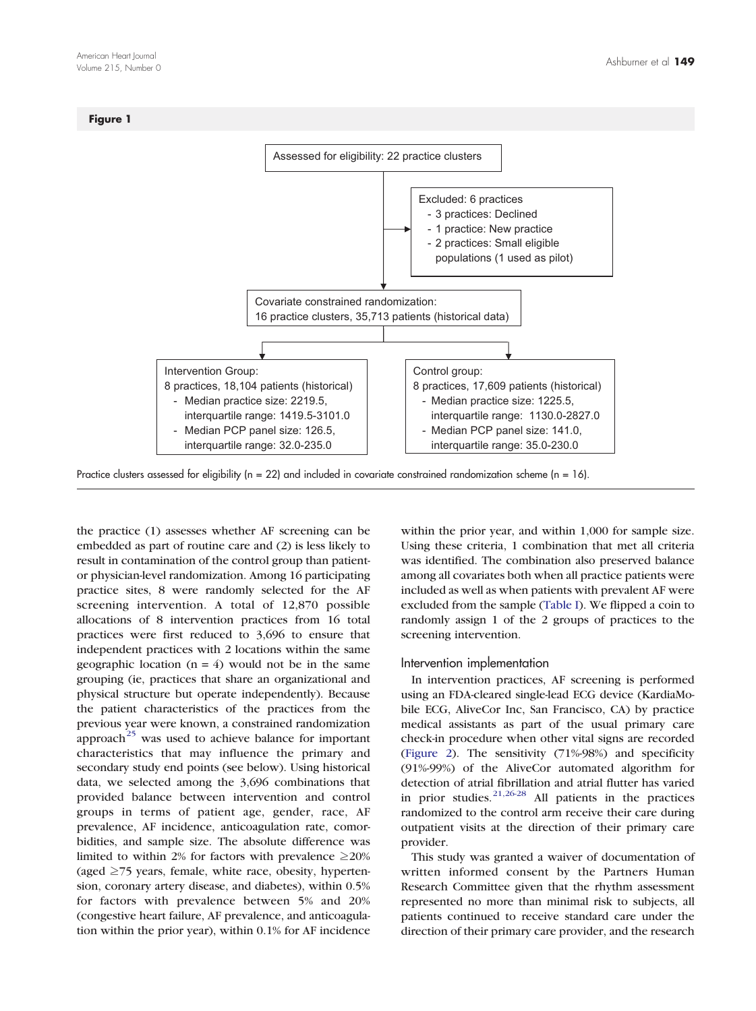<span id="page-2-0"></span>



Practice clusters assessed for eligibility ( $n = 22$ ) and included in covariate constrained randomization scheme ( $n = 16$ ).

the practice (1) assesses whether AF screening can be embedded as part of routine care and (2) is less likely to result in contamination of the control group than patientor physician-level randomization. Among 16 participating practice sites, 8 were randomly selected for the AF screening intervention. A total of 12,870 possible allocations of 8 intervention practices from 16 total practices were first reduced to 3,696 to ensure that independent practices with 2 locations within the same geographic location  $(n = 4)$  would not be in the same grouping (ie, practices that share an organizational and physical structure but operate independently). Because the patient characteristics of the practices from the previous year were known, a constrained randomization approac[h](#page-9-0)<sup>[25](#page-9-0)</sup> was used to achieve balance for important characteristics that may influence the primary and secondary study end points (see below). Using historical data, we selected among the 3,696 combinations that provided balance between intervention and control groups in terms of patient age, gender, race, AF prevalence, AF incidence, anticoagulation rate, comorbidities, and sample size. The absolute difference was limited to within 2% for factors with prevalence  $\geq$ 20% (aged  $\geq$ 75 years, female, white race, obesity, hypertension, coronary artery disease, and diabetes), within 0.5% for factors with prevalence between 5% and 20% (congestive heart failure, AF prevalence, and anticoagulation within the prior year), within 0.1% for AF incidence within the prior year, and within 1,000 for sample size. Using these criteria, 1 combination that met all criteria was identified. The combination also preserved balance among all covariates both when all practice patients were included as well as when patients with prevalent AF were excluded from the sample ([Table I](#page-3-0)). We flipped a coin to randomly assign 1 of the 2 groups of practices to the screening intervention.

#### Intervention implementation

In intervention practices, AF screening is performed using an FDA-cleared single-lead ECG device (KardiaMobile ECG, AliveCor Inc, San Francisco, CA) by practice medical assistants as part of the usual primary care check-in procedure when other vital signs are recorded ([Figure 2\)](#page-3-0). The sensitivity (71%-98%) and specificity (91%-99%) of the AliveCor automated algorithm for detection of atrial fibrillation and atrial flutter has varied in prior studies[.](#page-9-0)  $21,26-28$  All patients in the practices randomized to the control arm receive their care during outpatient visits at the direction of their primary care provider.

This study was granted a waiver of documentation of written informed consent by the Partners Human Research Committee given that the rhythm assessment represented no more than minimal risk to subjects, all patients continued to receive standard care under the direction of their primary care provider, and the research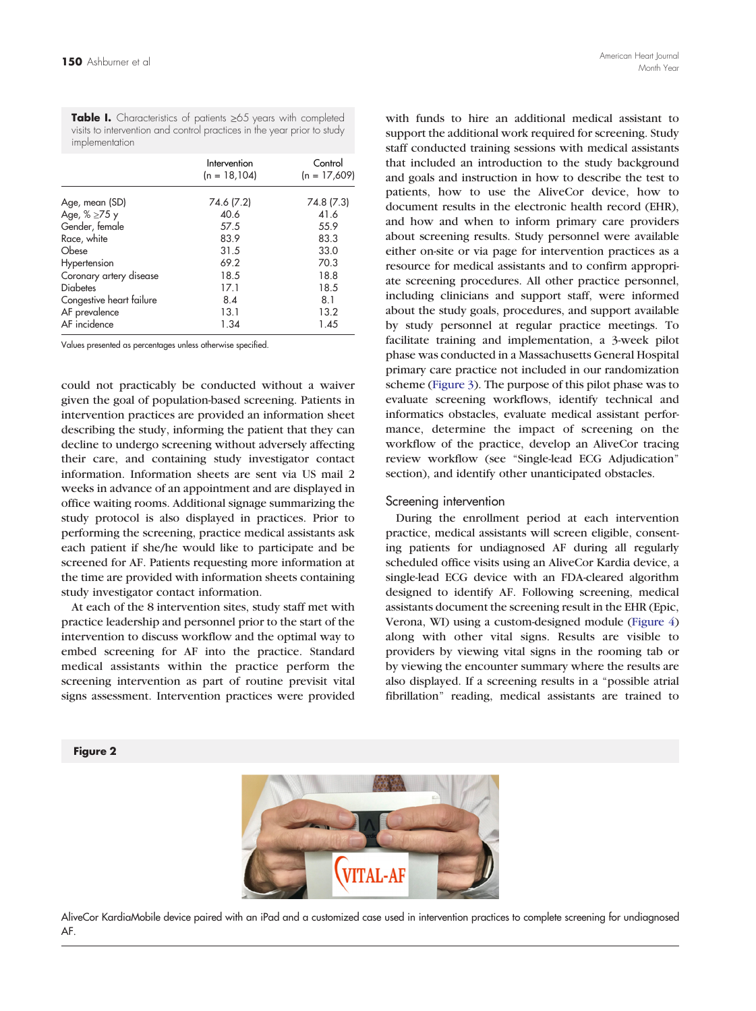Table I. Characteristics of patients ≥65 years with completed visits to intervention and control practices in the year prior to study implementation

|                          | Intervention<br>$(n = 18,104)$ | Control<br>$(n = 17,609)$ |
|--------------------------|--------------------------------|---------------------------|
| Age, mean (SD)           | 74.6 (7.2)                     | 74.8 (7.3)                |
| Age, $% \ge 75$ y        | 40.6                           | 41.6                      |
| Gender, female           | 57.5                           | 55.9                      |
| Race, white              | 83.9                           | 83.3                      |
| Obese                    | 31.5                           | 33.0                      |
| Hypertension             | 69.2                           | 70.3                      |
| Coronary artery disease  | 18.5                           | 18.8                      |
| <b>Diabetes</b>          | 17.1                           | 18.5                      |
| Congestive heart failure | 8.4                            | 8.1                       |
| AF prevalence            | 13.1                           | 13.2                      |
| AF incidence             | 1.34                           | 1.45                      |

Values presented as percentages unless otherwise specified.

could not practicably be conducted without a waiver given the goal of population-based screening. Patients in intervention practices are provided an information sheet describing the study, informing the patient that they can decline to undergo screening without adversely affecting their care, and containing study investigator contact information. Information sheets are sent via US mail 2 weeks in advance of an appointment and are displayed in office waiting rooms. Additional signage summarizing the study protocol is also displayed in practices. Prior to performing the screening, practice medical assistants ask each patient if she/he would like to participate and be screened for AF. Patients requesting more information at the time are provided with information sheets containing study investigator contact information.

At each of the 8 intervention sites, study staff met with practice leadership and personnel prior to the start of the intervention to discuss workflow and the optimal way to embed screening for AF into the practice. Standard medical assistants within the practice perform the screening intervention as part of routine previsit vital signs assessment. Intervention practices were provided

<span id="page-3-0"></span>American Heart Journal (American Heart Journal) American Heart Journal (American Heart Journal) American Heart Journal (American Heart Journal (American Heart Journal) American Heart Journal (American Heart Journal (Americ Month Year

> with funds to hire an additional medical assistant to support the additional work required for screening. Study staff conducted training sessions with medical assistants that included an introduction to the study background and goals and instruction in how to describe the test to patients, how to use the AliveCor device, how to document results in the electronic health record (EHR), and how and when to inform primary care providers about screening results. Study personnel were available either on-site or via page for intervention practices as a resource for medical assistants and to confirm appropriate screening procedures. All other practice personnel, including clinicians and support staff, were informed about the study goals, procedures, and support available by study personnel at regular practice meetings. To facilitate training and implementation, a 3-week pilot phase was conducted in a Massachusetts General Hospital primary care practice not included in our randomization scheme ([Figure 3\)](#page-4-0). The purpose of this pilot phase was to evaluate screening workflows, identify technical and informatics obstacles, evaluate medical assistant performance, determine the impact of screening on the workflow of the practice, develop an AliveCor tracing review workflow (see "Single-lead ECG Adjudication" section), and identify other unanticipated obstacles.

#### Screening intervention

During the enrollment period at each intervention practice, medical assistants will screen eligible, consenting patients for undiagnosed AF during all regularly scheduled office visits using an AliveCor Kardia device, a single-lead ECG device with an FDA-cleared algorithm designed to identify AF. Following screening, medical assistants document the screening result in the EHR (Epic, Verona, WI) using a custom-designed module [\(Figure 4](#page-4-0)) along with other vital signs. Results are visible to providers by viewing vital signs in the rooming tab or by viewing the encounter summary where the results are also displayed. If a screening results in a "possible atrial fibrillation" reading, medical assistants are trained to



AliveCor KardiaMobile device paired with an iPad and a customized case used in intervention practices to complete screening for undiagnosed AF.

#### Figure 2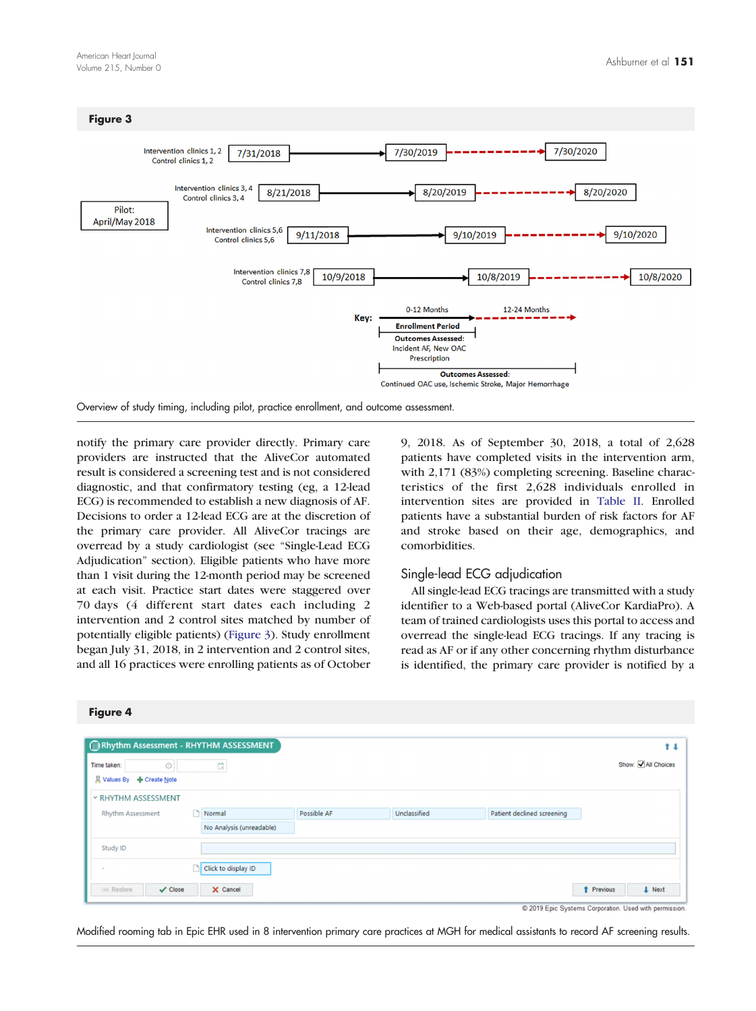Figure 4

<span id="page-4-0"></span>

Overview of study timing, including pilot, practice enrollment, and outcome assessment.

notify the primary care provider directly. Primary care providers are instructed that the AliveCor automated result is considered a screening test and is not considered diagnostic, and that confirmatory testing (eg, a 12-lead ECG) is recommended to establish a new diagnosis of AF. Decisions to order a 12-lead ECG are at the discretion of the primary care provider. All AliveCor tracings are overread by a study cardiologist (see "Single-Lead ECG Adjudication" section). Eligible patients who have more than 1 visit during the 12-month period may be screened at each visit. Practice start dates were staggered over 70 days (4 different start dates each including 2 intervention and 2 control sites matched by number of potentially eligible patients) (Figure 3). Study enrollment began July 31, 2018, in 2 intervention and 2 control sites, and all 16 practices were enrolling patients as of October 9, 2018. As of September 30, 2018, a total of 2,628 patients have completed visits in the intervention arm, with 2,171 (83%) completing screening. Baseline characteristics of the first 2,628 individuals enrolled in intervention sites are provided in [Table II](#page-5-0). Enrolled patients have a substantial burden of risk factors for AF and stroke based on their age, demographics, and comorbidities.

## Single-lead ECG adjudication

All single-lead ECG tracings are transmitted with a study identifier to a Web-based portal (AliveCor KardiaPro). A team of trained cardiologists uses this portal to access and overread the single-lead ECG tracings. If any tracing is read as AF or if any other concerning rhythm disturbance is identified, the primary care provider is notified by a

| Time taken:<br>$\odot$                  | Ġ                               |             |              |                            | Show: <b>JAII</b> Choices |
|-----------------------------------------|---------------------------------|-------------|--------------|----------------------------|---------------------------|
| <b>Q</b> Values By <b>+</b> Create Note |                                 |             |              |                            |                           |
| Y RHYTHM ASSESSMENT                     |                                 |             |              |                            |                           |
| <b>Rhythm Assessment</b>                | n<br>Normal                     | Possible AF | Unclassified | Patient declined screening |                           |
|                                         | No Analysis (unreadable)        |             |              |                            |                           |
| Study ID                                |                                 |             |              |                            |                           |
|                                         | <b>D</b><br>Click to display ID |             |              |                            |                           |

© 2019 Epic Systems Corporation. Used with permission.

Modified rooming tab in Epic EHR used in 8 intervention primary care practices at MGH for medical assistants to record AF screening results.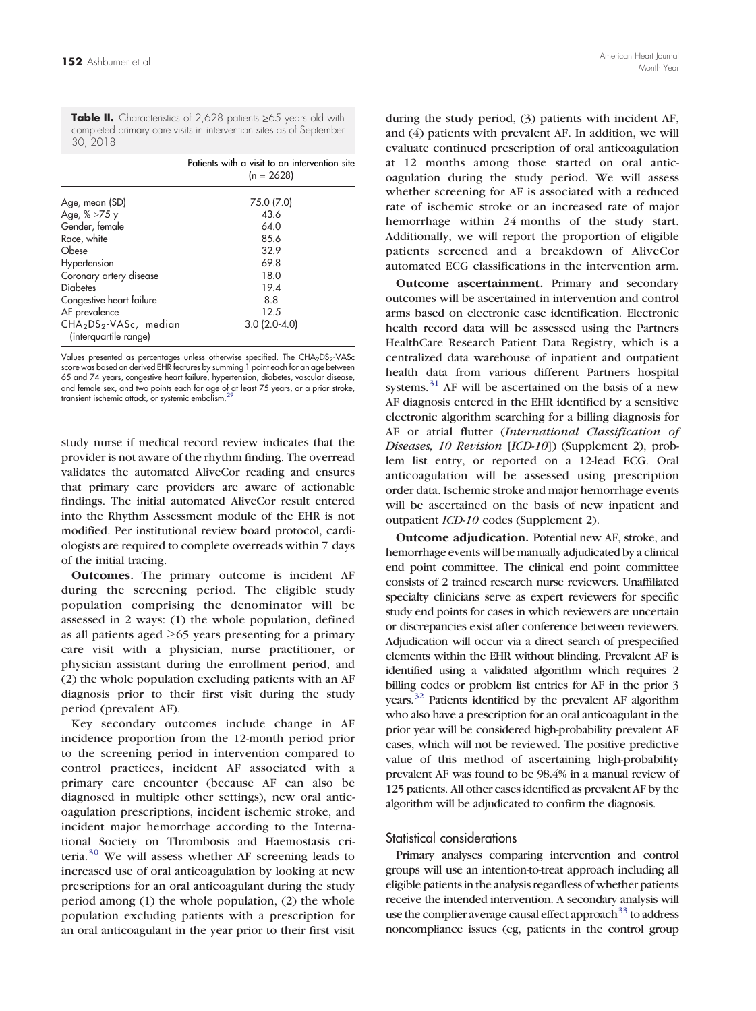<span id="page-5-0"></span>Table II. Characteristics of 2,628 patients ≥65 years old with completed primary care visits in intervention sites as of September 30, 2018

|                                                                         | Patients with a visit to an intervention site<br>$(n = 2628)$ |
|-------------------------------------------------------------------------|---------------------------------------------------------------|
| Age, mean (SD)                                                          | 75.0 (7.0)                                                    |
| Age, $% ≥ 75$ y                                                         | 43.6                                                          |
| Gender, female                                                          | 64.0                                                          |
| Race, white                                                             | 85.6                                                          |
| Obese                                                                   | 32.9                                                          |
| Hypertension                                                            | 69.8                                                          |
| Coronary artery disease                                                 | 18.0                                                          |
| <b>Diabetes</b>                                                         | 194                                                           |
| Congestive heart failure                                                | 8.8                                                           |
| AF prevalence                                                           | 12.5                                                          |
| CHA <sub>2</sub> DS <sub>2</sub> -VASc, median<br>(interquartile range) | $3.0(2.0-4.0)$                                                |

Values presented as percentages unless otherwise specified. The CHA<sub>2</sub>DS<sub>2</sub>-VASc score was based on derived EHR features by summing 1 point each for an age between 65 and 74 years, congestive heart failure, hypertension, diabetes, vascular disease, and female sex, and two points each for age of at least 75 years, or a prior stroke, transient ischemic attack, or systemic embolism[.](#page-9-0)[29](#page-9-0)

study nurse if medical record review indicates that the provider is not aware of the rhythm finding. The overread validates the automated AliveCor reading and ensures that primary care providers are aware of actionable findings. The initial automated AliveCor result entered into the Rhythm Assessment module of the EHR is not modified. Per institutional review board protocol, cardiologists are required to complete overreads within 7 days of the initial tracing.

Outcomes. The primary outcome is incident AF during the screening period. The eligible study population comprising the denominator will be assessed in 2 ways: (1) the whole population, defined as all patients aged  $\geq 65$  years presenting for a primary care visit with a physician, nurse practitioner, or physician assistant during the enrollment period, and (2) the whole population excluding patients with an AF diagnosis prior to their first visit during the study period (prevalent AF).

Key secondary outcomes include change in AF incidence proportion from the 12-month period prior to the screening period in intervention compared to control practices, incident AF associated with a primary care encounter (because AF can also be diagnosed in multiple other settings), new oral anticoagulation prescriptions, incident ischemic stroke, and incident major hemorrhage according to the International Society on Thrombosis and Haemostasis criteria[.](#page-9-0)[30](#page-9-0) We will assess whether AF screening leads to increased use of oral anticoagulation by looking at new prescriptions for an oral anticoagulant during the study period among (1) the whole population, (2) the whole population excluding patients with a prescription for an oral anticoagulant in the year prior to their first visit

during the study period, (3) patients with incident AF, and (4) patients with prevalent AF. In addition, we will evaluate continued prescription of oral anticoagulation at 12 months among those started on oral anticoagulation during the study period. We will assess whether screening for AF is associated with a reduced rate of ischemic stroke or an increased rate of major hemorrhage within 24 months of the study start. Additionally, we will report the proportion of eligible patients screened and a breakdown of AliveCor automated ECG classifications in the intervention arm.

Outcome ascertainment. Primary and secondary outcomes will be ascertained in intervention and control arms based on electronic case identification. Electronic health record data will be assessed using the Partners HealthCare Research Patient Data Registry, which is a centralized data warehouse of inpatient and outpatient health data from various different Partners hospital systems[.](#page-9-0)<sup>[31](#page-9-0)</sup> AF will be ascertained on the basis of a new AF diagnosis entered in the EHR identified by a sensitive electronic algorithm searching for a billing diagnosis for AF or atrial flutter (International Classification of Diseases, 10 Revision [ICD-10]) (Supplement 2), problem list entry, or reported on a 12-lead ECG. Oral anticoagulation will be assessed using prescription order data. Ischemic stroke and major hemorrhage events will be ascertained on the basis of new inpatient and outpatient ICD-10 codes (Supplement 2).

Outcome adjudication. Potential new AF, stroke, and hemorrhage events will be manually adjudicated by a clinical end point committee. The clinical end point committee consists of 2 trained research nurse reviewers. Unaffiliated specialty clinicians serve as expert reviewers for specific study end points for cases in which reviewers are uncertain or discrepancies exist after conference between reviewers. Adjudication will occur via a direct search of prespecified elements within the EHR without blinding. Prevalent AF is identified using a validated algorithm which requires 2 billing codes or problem list entries for AF in the prior 3 years[.](#page-9-0)<sup>[32](#page-9-0)</sup> Patients identified by the prevalent AF algorithm who also have a prescription for an oral anticoagulant in the prior year will be considered high-probability prevalent AF cases, which will not be reviewed. The positive predictive value of this method of ascertaining high-probability prevalent AF was found to be 98.4% in a manual review of 125 patients. All other cases identified as prevalent AF by the algorithm will be adjudicated to confirm the diagnosis.

#### Statistical considerations

Primary analyses comparing intervention and control groups will use an intention-to-treat approach including all eligible patients in the analysis regardless of whether patients receive the intended intervention. A secondary analysis will use t[h](#page-9-0)e complier average causal effect approach  $33$  to address noncompliance issues (eg, patients in the control group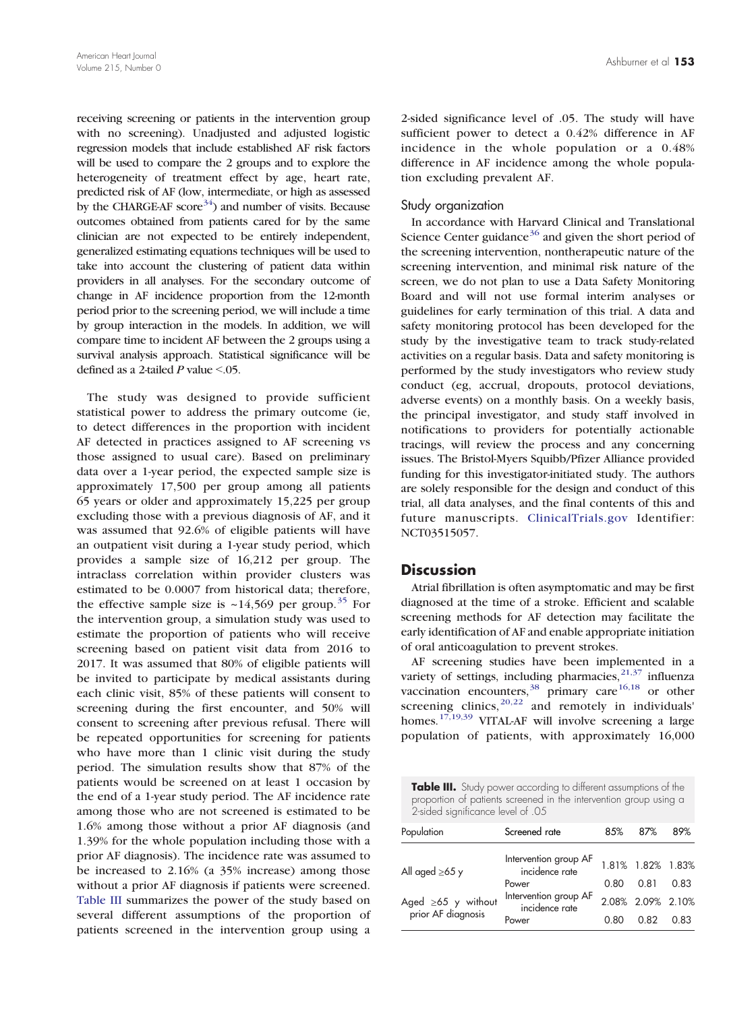receiving screening or patients in the intervention group with no screening). Unadjusted and adjusted logistic regression models that include established AF risk factors will be used to compare the 2 groups and to explore the heterogeneity of treatment effect by age, heart rate, predicted risk of AF (low, intermediate, or high as assessed by th[e](#page-9-0) CHARGE-AF score<sup>34</sup>) and number of visits. Because outcomes obtained from patients cared for by the same clinician are not expected to be entirely independent, generalized estimating equations techniques will be used to take into account the clustering of patient data within providers in all analyses. For the secondary outcome of change in AF incidence proportion from the 12-month period prior to the screening period, we will include a time by group interaction in the models. In addition, we will compare time to incident AF between the 2 groups using a survival analysis approach. Statistical significance will be defined as a 2-tailed  $P$  value  $\le$ .05.

The study was designed to provide sufficient statistical power to address the primary outcome (ie, to detect differences in the proportion with incident AF detected in practices assigned to AF screening vs those assigned to usual care). Based on preliminary data over a 1-year period, the expected sample size is approximately 17,500 per group among all patients 65 years or older and approximately 15,225 per group excluding those with a previous diagnosis of AF, and it was assumed that 92.6% of eligible patients will have an outpatient visit during a 1-year study period, which provides a sample size of 16,212 per group. The intraclass correlation within provider clusters was estimated to be 0.0007 from historical data; therefore, the effective sample size is  $\sim$ 14,569 per group[.](#page-9-0)<sup>[35](#page-9-0)</sup> For the intervention group, a simulation study was used to estimate the proportion of patients who will receive screening based on patient visit data from 2016 to 2017. It was assumed that 80% of eligible patients will be invited to participate by medical assistants during each clinic visit, 85% of these patients will consent to screening during the first encounter, and 50% will consent to screening after previous refusal. There will be repeated opportunities for screening for patients who have more than 1 clinic visit during the study period. The simulation results show that 87% of the patients would be screened on at least 1 occasion by the end of a 1-year study period. The AF incidence rate among those who are not screened is estimated to be 1.6% among those without a prior AF diagnosis (and 1.39% for the whole population including those with a prior AF diagnosis). The incidence rate was assumed to be increased to 2.16% (a 35% increase) among those without a prior AF diagnosis if patients were screened. Table III summarizes the power of the study based on several different assumptions of the proportion of patients screened in the intervention group using a 2-sided significance level of .05. The study will have sufficient power to detect a 0.42% difference in AF incidence in the whole population or a 0.48% difference in AF incidence among the whole population excluding prevalent AF.

### Study organization

In accordance with Harvard Clinical and Translational Sci[e](#page-9-0)nce Center guidance<sup>[36](#page-9-0)</sup> and given the short period of the screening intervention, nontherapeutic nature of the screening intervention, and minimal risk nature of the screen, we do not plan to use a Data Safety Monitoring Board and will not use formal interim analyses or guidelines for early termination of this trial. A data and safety monitoring protocol has been developed for the study by the investigative team to track study-related activities on a regular basis. Data and safety monitoring is performed by the study investigators who review study conduct (eg, accrual, dropouts, protocol deviations, adverse events) on a monthly basis. On a weekly basis, the principal investigator, and study staff involved in notifications to providers for potentially actionable tracings, will review the process and any concerning issues. The Bristol-Myers Squibb/Pfizer Alliance provided funding for this investigator-initiated study. The authors are solely responsible for the design and conduct of this trial, all data analyses, and the final contents of this and future manuscripts. [ClinicalTrials.gov](http://ClinicalTrials.gov) Identifier: NCT03515057.

## **Discussion**

Atrial fibrillation is often asymptomatic and may be first diagnosed at the time of a stroke. Efficient and scalable screening methods for AF detection may facilitate the early identification of AF and enable appropriate initiation of oral anticoagulation to prevent strokes.

AF screening studies have been implemented in a variety of settings[,](#page-9-0) including pharmacies, $21,37$  influenza vaccination [e](#page-8-0)ncounters,  $38$  primary care  $16,18$  or other screening clinics[,](#page-9-0)  $20,22$  and remotely in individuals' homes[.](#page-9-0)<sup>[17,19,39](#page-9-0)</sup> VITAL-AF will involve screening a large population of patients, with approximately 16,000

Table III. Study power according to different assumptions of the proportion of patients screened in the intervention group using a 2-sided significance level of .05

| Population                                     | Screened rate                           | 8.5% | 87%               | 89%  |
|------------------------------------------------|-----------------------------------------|------|-------------------|------|
| All aged $\geq 65$ y                           | Intervention group AF<br>incidence rate |      | 1.81% 1.82% 1.83% |      |
|                                                | Power                                   | 0.80 | 0.81              | 0.83 |
| Aged $\geq 65$ y without<br>prior AF diagnosis | Intervention group AF<br>incidence rate |      | 2.08% 2.09% 2.10% |      |
|                                                | Power                                   | 0.80 | 0.82              | 0.83 |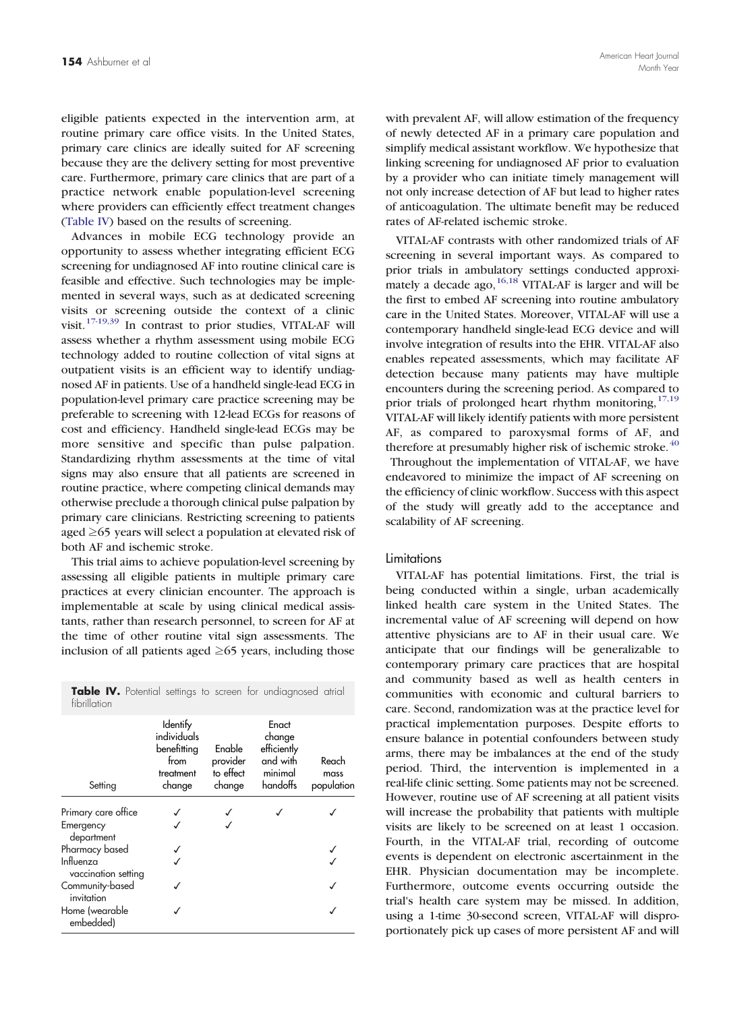eligible patients expected in the intervention arm, at routine primary care office visits. In the United States, primary care clinics are ideally suited for AF screening because they are the delivery setting for most preventive care. Furthermore, primary care clinics that are part of a practice network enable population-level screening where providers can efficiently effect treatment changes (Table IV) based on the results of screening.

Advances in mobile ECG technology provide an opportunity to assess whether integrating efficient ECG screening for undiagnosed AF into routine clinical care is feasible and effective. Such technologies may be implemented in several ways, such as at dedicated screening visits or screening outside the context of a clinic visit[.](#page-9-0)[17-19,39](#page-9-0) In contrast to prior studies, VITAL-AF will assess whether a rhythm assessment using mobile ECG technology added to routine collection of vital signs at outpatient visits is an efficient way to identify undiagnosed AF in patients. Use of a handheld single-lead ECG in population-level primary care practice screening may be preferable to screening with 12-lead ECGs for reasons of cost and efficiency. Handheld single-lead ECGs may be more sensitive and specific than pulse palpation. Standardizing rhythm assessments at the time of vital signs may also ensure that all patients are screened in routine practice, where competing clinical demands may otherwise preclude a thorough clinical pulse palpation by primary care clinicians. Restricting screening to patients aged ≥65 years will select a population at elevated risk of both AF and ischemic stroke.

This trial aims to achieve population-level screening by assessing all eligible patients in multiple primary care practices at every clinician encounter. The approach is implementable at scale by using clinical medical assistants, rather than research personnel, to screen for AF at the time of other routine vital sign assessments. The inclusion of all patients aged  $\geq 65$  years, including those

| Table IV. Potential settings to screen for undiagnosed atrial<br>fibrillation |                                                                       |                                           |                                                                   |                             |
|-------------------------------------------------------------------------------|-----------------------------------------------------------------------|-------------------------------------------|-------------------------------------------------------------------|-----------------------------|
| Setting                                                                       | Identify<br>individuals<br>benefitting<br>from<br>treatment<br>change | Enable<br>provider<br>to effect<br>change | Enact<br>change<br>efficiently<br>and with<br>minimal<br>handoffs | Reach<br>mass<br>population |
| Primary care office                                                           |                                                                       |                                           |                                                                   |                             |
| Emergency<br>department                                                       |                                                                       |                                           |                                                                   |                             |
| Pharmacy based                                                                |                                                                       |                                           |                                                                   |                             |
| Influenza<br>vaccination setting                                              |                                                                       |                                           |                                                                   |                             |
| Community-based<br>invitation                                                 |                                                                       |                                           |                                                                   |                             |
| Home (wearable<br>embedded)                                                   |                                                                       |                                           |                                                                   |                             |

with prevalent AF, will allow estimation of the frequency of newly detected AF in a primary care population and simplify medical assistant workflow. We hypothesize that linking screening for undiagnosed AF prior to evaluation by a provider who can initiate timely management will not only increase detection of AF but lead to higher rates of anticoagulation. The ultimate benefit may be reduced rates of AF-related ischemic stroke.

VITAL-AF contrasts with other randomized trials of AF screening in several important ways. As compared to prior trials in ambulatory settings conducted approxi-mately a decade ago[,](#page-8-0)  $16,18$  VITAL-AF is larger and will be the first to embed AF screening into routine ambulatory care in the United States. Moreover, VITAL-AF will use a contemporary handheld single-lead ECG device and will involve integration of results into the EHR. VITAL-AF also enables repeated assessments, which may facilitate AF detection because many patients may have multiple encounters during the screening period. As compared to prior trials of prolonged heart rhythm monitoring[,](#page-9-0) [17,19](#page-9-0) VITAL-AF will likely identify patients with more persistent AF, as compared to paroxysmal forms of AF, and [t](#page-9-0)herefore at presumably higher risk of ischemic stroke[.](#page-9-0)<sup>[40](#page-9-0)</sup> Throughout the implementation of VITAL-AF, we have endeavored to minimize the impact of AF screening on the efficiency of clinic workflow. Success with this aspect of the study will greatly add to the acceptance and scalability of AF screening.

#### **Limitations**

VITAL-AF has potential limitations. First, the trial is being conducted within a single, urban academically linked health care system in the United States. The incremental value of AF screening will depend on how attentive physicians are to AF in their usual care. We anticipate that our findings will be generalizable to contemporary primary care practices that are hospital and community based as well as health centers in communities with economic and cultural barriers to care. Second, randomization was at the practice level for practical implementation purposes. Despite efforts to ensure balance in potential confounders between study arms, there may be imbalances at the end of the study period. Third, the intervention is implemented in a real-life clinic setting. Some patients may not be screened. However, routine use of AF screening at all patient visits will increase the probability that patients with multiple visits are likely to be screened on at least 1 occasion. Fourth, in the VITAL-AF trial, recording of outcome events is dependent on electronic ascertainment in the EHR. Physician documentation may be incomplete. Furthermore, outcome events occurring outside the trial's health care system may be missed. In addition, using a 1-time 30-second screen, VITAL-AF will disproportionately pick up cases of more persistent AF and will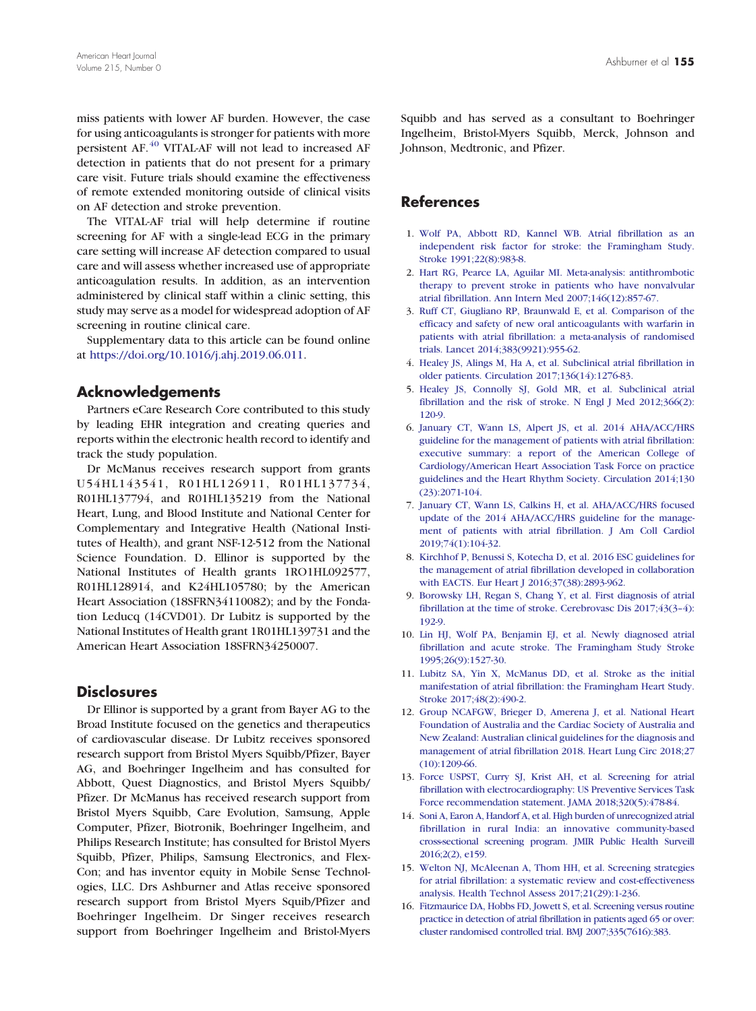<span id="page-8-0"></span>miss patients with lower AF burden. However, the case for using anticoagulants is stronger for patients with more persistent AF[.](#page-9-0)<sup>[40](#page-9-0)</sup> VITAL-AF will not lead to increased AF detection in patients that do not present for a primary care visit. Future trials should examine the effectiveness of remote extended monitoring outside of clinical visits on AF detection and stroke prevention.

The VITAL-AF trial will help determine if routine screening for AF with a single-lead ECG in the primary care setting will increase AF detection compared to usual care and will assess whether increased use of appropriate anticoagulation results. In addition, as an intervention administered by clinical staff within a clinic setting, this study may serve as a model for widespread adoption of AF screening in routine clinical care.

Supplementary data to this article can be found online at [https://doi.org/10.1016/j.ahj.2019.06.011.](https://doi.org/)

# Acknowledgements

Partners eCare Research Core contributed to this study by leading EHR integration and creating queries and reports within the electronic health record to identify and track the study population.

Dr McManus receives research support from grants U54HL143541, R01HL126911, R01HL137734, R01HL137794, and R01HL135219 from the National Heart, Lung, and Blood Institute and National Center for Complementary and Integrative Health (National Institutes of Health), and grant NSF-12-512 from the National Science Foundation. D. Ellinor is supported by the National Institutes of Health grants 1RO1HL092577, R01HL128914, and K24HL105780; by the American Heart Association (18SFRN34110082); and by the Fondation Leducq (14CVD01). Dr Lubitz is supported by the National Institutes of Health grant 1R01HL139731 and the American Heart Association 18SFRN34250007.

# **Disclosures**

Dr Ellinor is supported by a grant from Bayer AG to the Broad Institute focused on the genetics and therapeutics of cardiovascular disease. Dr Lubitz receives sponsored research support from Bristol Myers Squibb/Pfizer, Bayer AG, and Boehringer Ingelheim and has consulted for Abbott, Quest Diagnostics, and Bristol Myers Squibb/ Pfizer. Dr McManus has received research support from Bristol Myers Squibb, Care Evolution, Samsung, Apple Computer, Pfizer, Biotronik, Boehringer Ingelheim, and Philips Research Institute; has consulted for Bristol Myers Squibb, Pfizer, Philips, Samsung Electronics, and Flex-Con; and has inventor equity in Mobile Sense Technologies, LLC. Drs Ashburner and Atlas receive sponsored research support from Bristol Myers Squib/Pfizer and Boehringer Ingelheim. Dr Singer receives research support from Boehringer Ingelheim and Bristol-Myers

Squibb and has served as a consultant to Boehringer Ingelheim, Bristol-Myers Squibb, Merck, Johnson and Johnson, Medtronic, and Pfizer.

# References

- 1. [Wolf PA, Abbott RD, Kannel WB. Atrial fibrillation as an](http://refhub.elsevier.com/S0002-8703(19)30156-5/rf0005) [independent risk factor for stroke: the Framingham Study.](http://refhub.elsevier.com/S0002-8703(19)30156-5/rf0005) [Stroke 1991;22\(8\):983-8.](http://refhub.elsevier.com/S0002-8703(19)30156-5/rf0005)
- 2. [Hart RG, Pearce LA, Aguilar MI. Meta-analysis: antithrombotic](http://refhub.elsevier.com/S0002-8703(19)30156-5/rf0010) [therapy to prevent stroke in patients who have nonvalvular](http://refhub.elsevier.com/S0002-8703(19)30156-5/rf0010) [atrial fibrillation. Ann Intern Med 2007;146\(12\):857-67.](http://refhub.elsevier.com/S0002-8703(19)30156-5/rf0010)
- 3. [Ruff CT, Giugliano RP, Braunwald E, et al. Comparison of the](http://refhub.elsevier.com/S0002-8703(19)30156-5/rf0015) [efficacy and safety of new oral anticoagulants with warfarin in](http://refhub.elsevier.com/S0002-8703(19)30156-5/rf0015) [patients with atrial fibrillation: a meta-analysis of randomised](http://refhub.elsevier.com/S0002-8703(19)30156-5/rf0015) [trials. Lancet 2014;383\(9921\):955-62.](http://refhub.elsevier.com/S0002-8703(19)30156-5/rf0015)
- 4. [Healey JS, Alings M, Ha A, et al. Subclinical atrial fibrillation in](http://refhub.elsevier.com/S0002-8703(19)30156-5/rf0020) [older patients. Circulation 2017;136\(14\):1276-83.](http://refhub.elsevier.com/S0002-8703(19)30156-5/rf0020)
- 5. [Healey JS, Connolly SJ, Gold MR, et al. Subclinical atrial](http://refhub.elsevier.com/S0002-8703(19)30156-5/rf0025) [fibrillation and the risk of stroke. N Engl J Med 2012;366\(2\):](http://refhub.elsevier.com/S0002-8703(19)30156-5/rf0025) [120-9.](http://refhub.elsevier.com/S0002-8703(19)30156-5/rf0025)
- 6. [January CT, Wann LS, Alpert JS, et al. 2014 AHA/ACC/HRS](http://refhub.elsevier.com/S0002-8703(19)30156-5/rf0030) [guideline for the management of patients with atrial fibrillation:](http://refhub.elsevier.com/S0002-8703(19)30156-5/rf0030) [executive summary: a report of the American College of](http://refhub.elsevier.com/S0002-8703(19)30156-5/rf0030) [Cardiology/American Heart Association Task Force on practice](http://refhub.elsevier.com/S0002-8703(19)30156-5/rf0030) [guidelines and the Heart Rhythm Society. Circulation 2014;130](http://refhub.elsevier.com/S0002-8703(19)30156-5/rf0030) [\(23\):2071-104.](http://refhub.elsevier.com/S0002-8703(19)30156-5/rf0030)
- 7. [January CT, Wann LS, Calkins H, et al. AHA/ACC/HRS focused](http://refhub.elsevier.com/S0002-8703(19)30156-5/rf0035) [update of the 2014 AHA/ACC/HRS guideline for the manage](http://refhub.elsevier.com/S0002-8703(19)30156-5/rf0035)[ment of patients with atrial fibrillation. J Am Coll Cardiol](http://refhub.elsevier.com/S0002-8703(19)30156-5/rf0035) [2019;74\(1\):104-32.](http://refhub.elsevier.com/S0002-8703(19)30156-5/rf0035)
- 8. [Kirchhof P, Benussi S, Kotecha D, et al. 2016 ESC guidelines for](http://refhub.elsevier.com/S0002-8703(19)30156-5/rf0040) [the management of atrial fibrillation developed in collaboration](http://refhub.elsevier.com/S0002-8703(19)30156-5/rf0040) [with EACTS. Eur Heart J 2016;37\(38\):2893-962.](http://refhub.elsevier.com/S0002-8703(19)30156-5/rf0040)
- 9. [Borowsky LH, Regan S, Chang Y, et al. First diagnosis of atrial](http://refhub.elsevier.com/S0002-8703(19)30156-5/rf0045) [fibrillation at the time of stroke. Cerebrovasc Dis 2017;43\(3](http://refhub.elsevier.com/S0002-8703(19)30156-5/rf0045)–4): [192-9.](http://refhub.elsevier.com/S0002-8703(19)30156-5/rf0045)
- 10. [Lin HJ, Wolf PA, Benjamin EJ, et al. Newly diagnosed atrial](http://refhub.elsevier.com/S0002-8703(19)30156-5/rf0050) [fibrillation and acute stroke. The Framingham Study Stroke](http://refhub.elsevier.com/S0002-8703(19)30156-5/rf0050) [1995;26\(9\):1527-30.](http://refhub.elsevier.com/S0002-8703(19)30156-5/rf0050)
- 11. [Lubitz SA, Yin X, McManus DD, et al. Stroke as the initial](http://refhub.elsevier.com/S0002-8703(19)30156-5/rf0055) [manifestation of atrial fibrillation: the Framingham Heart Study.](http://refhub.elsevier.com/S0002-8703(19)30156-5/rf0055) [Stroke 2017;48\(2\):490-2.](http://refhub.elsevier.com/S0002-8703(19)30156-5/rf0055)
- 12. [Group NCAFGW, Brieger D, Amerena J, et al. National Heart](http://refhub.elsevier.com/S0002-8703(19)30156-5/rf0060) [Foundation of Australia and the Cardiac Society of Australia and](http://refhub.elsevier.com/S0002-8703(19)30156-5/rf0060) [New Zealand: Australian clinical guidelines for the diagnosis and](http://refhub.elsevier.com/S0002-8703(19)30156-5/rf0060) [management of atrial fibrillation 2018. Heart Lung Circ 2018;27](http://refhub.elsevier.com/S0002-8703(19)30156-5/rf0060) [\(10\):1209-66.](http://refhub.elsevier.com/S0002-8703(19)30156-5/rf0060)
- 13. [Force USPST, Curry SJ, Krist AH, et al. Screening for atrial](http://refhub.elsevier.com/S0002-8703(19)30156-5/rf0065) [fibrillation with electrocardiography: US Preventive Services Task](http://refhub.elsevier.com/S0002-8703(19)30156-5/rf0065) [Force recommendation statement. JAMA 2018;320\(5\):478-84.](http://refhub.elsevier.com/S0002-8703(19)30156-5/rf0065)
- 14. [Soni A, Earon A, Handorf A, et al. High burden of unrecognized atrial](http://refhub.elsevier.com/S0002-8703(19)30156-5/rf0070) [fibrillation in rural India: an innovative community-based](http://refhub.elsevier.com/S0002-8703(19)30156-5/rf0070) [cross-sectional screening program. JMIR Public Health Surveill](http://refhub.elsevier.com/S0002-8703(19)30156-5/rf0070) [2016;2\(2\), e159.](http://refhub.elsevier.com/S0002-8703(19)30156-5/rf0070)
- 15. [Welton NJ, McAleenan A, Thom HH, et al. Screening strategies](http://refhub.elsevier.com/S0002-8703(19)30156-5/rf0075) [for atrial fibrillation: a systematic review and cost-effectiveness](http://refhub.elsevier.com/S0002-8703(19)30156-5/rf0075) [analysis. Health Technol Assess 2017;21\(29\):1-236.](http://refhub.elsevier.com/S0002-8703(19)30156-5/rf0075)
- 16. [Fitzmaurice DA, Hobbs FD, Jowett S, et al. Screening versus routine](http://refhub.elsevier.com/S0002-8703(19)30156-5/rf0080) [practice in detection of atrial fibrillation in patients aged 65 or over:](http://refhub.elsevier.com/S0002-8703(19)30156-5/rf0080) [cluster randomised controlled trial. BMJ 2007;335\(7616\):383.](http://refhub.elsevier.com/S0002-8703(19)30156-5/rf0080)